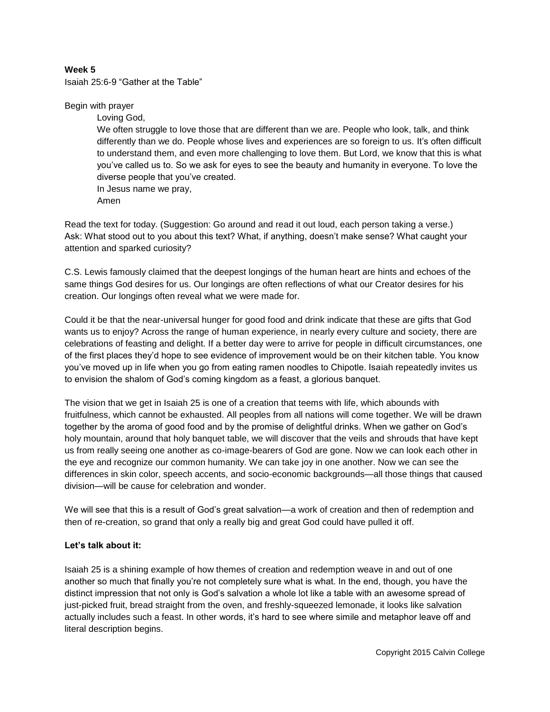## **Week 5**

Isaiah 25:6-9 "Gather at the Table"

## Begin with prayer

Loving God, We often struggle to love those that are different than we are. People who look, talk, and think differently than we do. People whose lives and experiences are so foreign to us. It's often difficult to understand them, and even more challenging to love them. But Lord, we know that this is what you've called us to. So we ask for eyes to see the beauty and humanity in everyone. To love the diverse people that you've created. In Jesus name we pray,

Amen

Read the text for today. (Suggestion: Go around and read it out loud, each person taking a verse.) Ask: What stood out to you about this text? What, if anything, doesn't make sense? What caught your attention and sparked curiosity?

C.S. Lewis famously claimed that the deepest longings of the human heart are hints and echoes of the same things God desires for us. Our longings are often reflections of what our Creator desires for his creation. Our longings often reveal what we were made for.

Could it be that the near-universal hunger for good food and drink indicate that these are gifts that God wants us to enjoy? Across the range of human experience, in nearly every culture and society, there are celebrations of feasting and delight. If a better day were to arrive for people in difficult circumstances, one of the first places they'd hope to see evidence of improvement would be on their kitchen table. You know you've moved up in life when you go from eating ramen noodles to Chipotle. Isaiah repeatedly invites us to envision the shalom of God's coming kingdom as a feast, a glorious banquet.

The vision that we get in Isaiah 25 is one of a creation that teems with life, which abounds with fruitfulness, which cannot be exhausted. All peoples from all nations will come together. We will be drawn together by the aroma of good food and by the promise of delightful drinks. When we gather on God's holy mountain, around that holy banquet table, we will discover that the veils and shrouds that have kept us from really seeing one another as co-image-bearers of God are gone. Now we can look each other in the eye and recognize our common humanity. We can take joy in one another. Now we can see the differences in skin color, speech accents, and socio-economic backgrounds—all those things that caused division—will be cause for celebration and wonder.

We will see that this is a result of God's great salvation—a work of creation and then of redemption and then of re-creation, so grand that only a really big and great God could have pulled it off.

## **Let's talk about it:**

Isaiah 25 is a shining example of how themes of creation and redemption weave in and out of one another so much that finally you're not completely sure what is what. In the end, though, you have the distinct impression that not only is God's salvation a whole lot like a table with an awesome spread of just-picked fruit, bread straight from the oven, and freshly-squeezed lemonade, it looks like salvation actually includes such a feast. In other words, it's hard to see where simile and metaphor leave off and literal description begins.